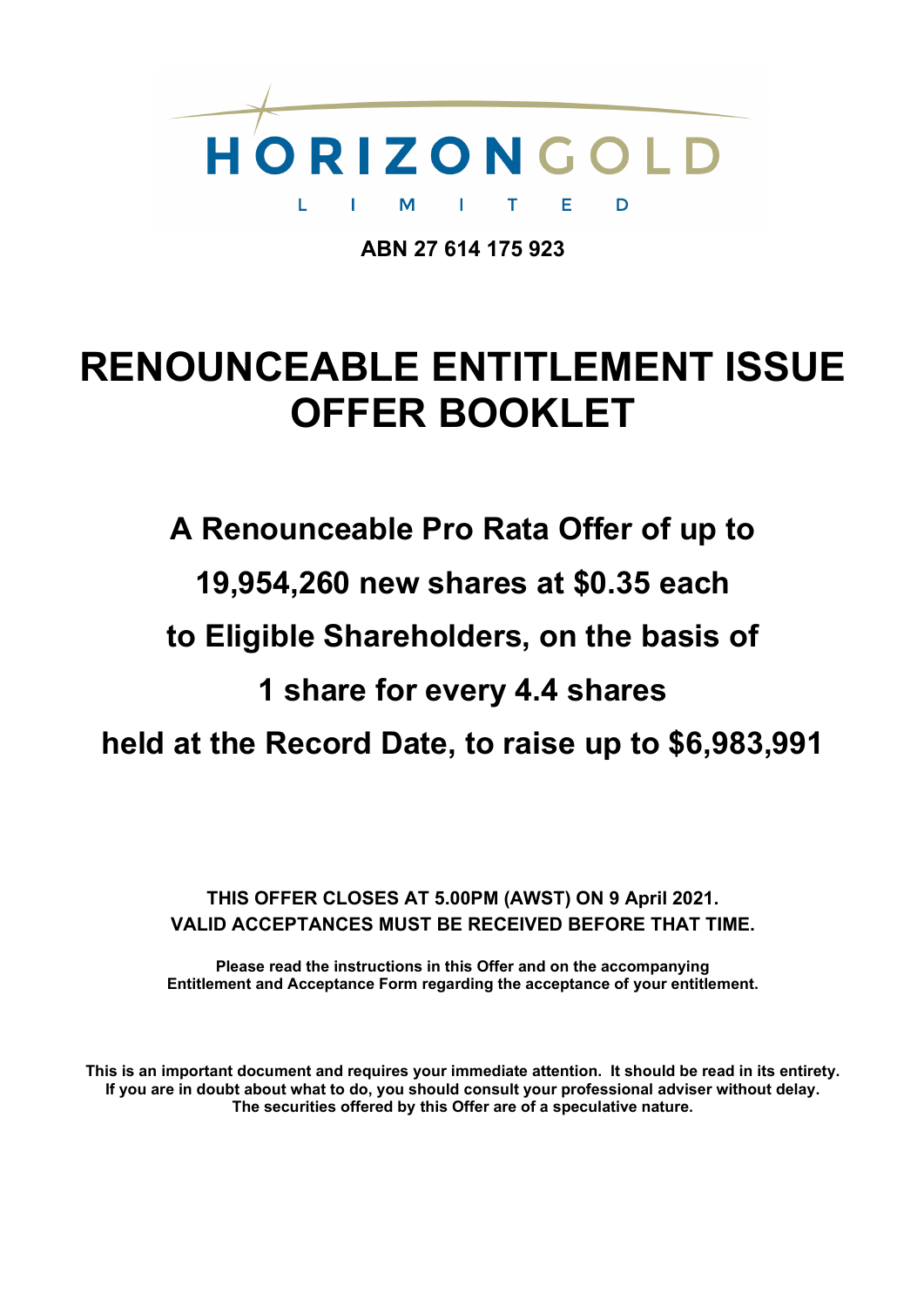

**ABN 27 614 175 923**

# **RENOUNCEABLE ENTITLEMENT ISSUE OFFER BOOKLET**

**A Renounceable Pro Rata Offer of up to 19,954,260 new shares at \$0.35 each to Eligible Shareholders, on the basis of 1 share for every 4.4 shares held at the Record Date, to raise up to \$6,983,991**

**THIS OFFER CLOSES AT 5.00PM (AWST) ON 9 April 2021. VALID ACCEPTANCES MUST BE RECEIVED BEFORE THAT TIME.**

**Please read the instructions in this Offer and on the accompanying Entitlement and Acceptance Form regarding the acceptance of your entitlement.**

**This is an important document and requires your immediate attention. It should be read in its entirety. If you are in doubt about what to do, you should consult your professional adviser without delay. The securities offered by this Offer are of a speculative nature.**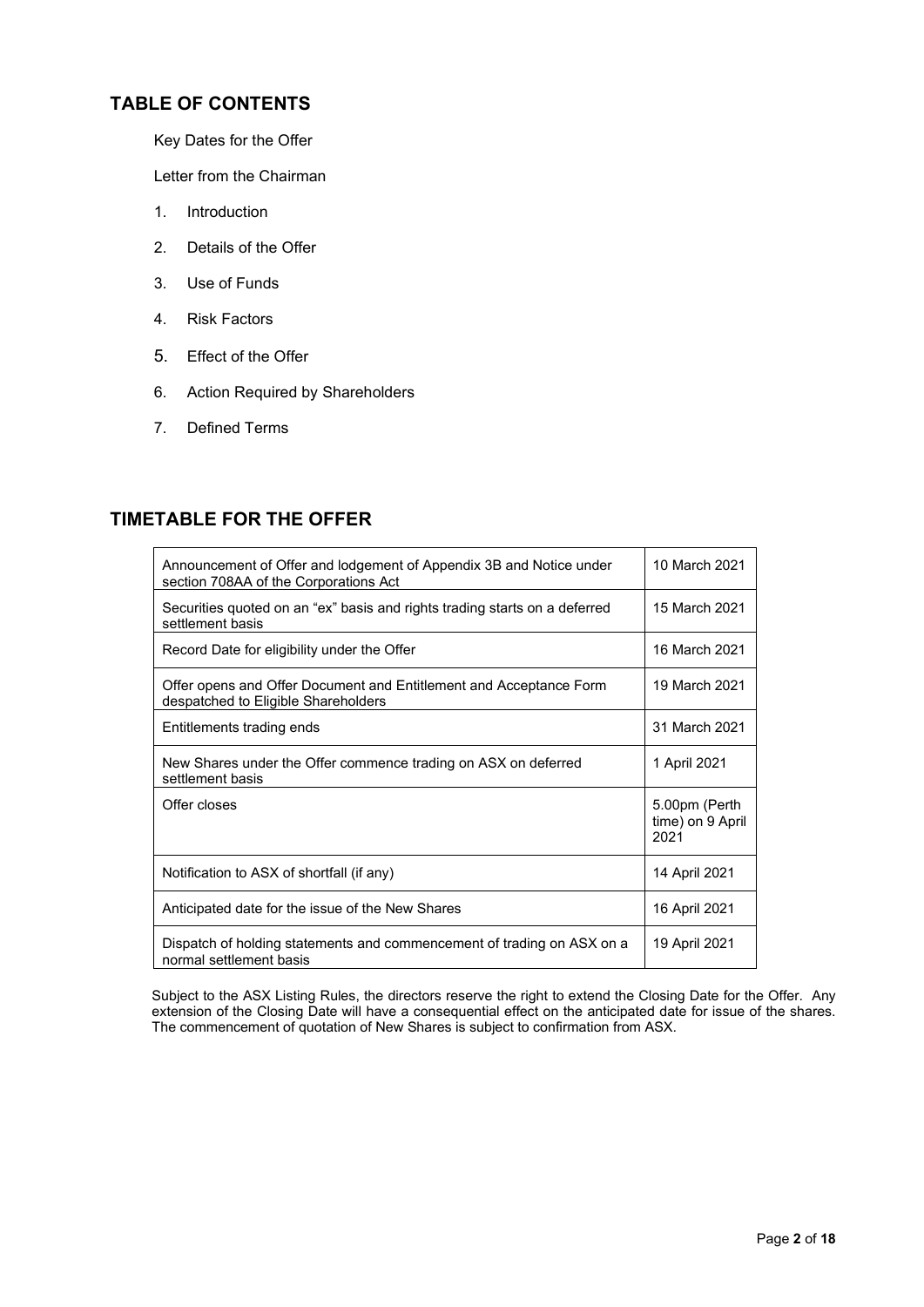# **TABLE OF CONTENTS**

Key Dates for the Offer

Letter from the Chairman

- 1. Introduction
- 2. Details of the Offer
- 3. Use of Funds
- 4. Risk Factors
- 5. Effect of the Offer
- 6. Action Required by Shareholders
- 7. Defined Terms

# **TIMETABLE FOR THE OFFER**

| Announcement of Offer and lodgement of Appendix 3B and Notice under<br>section 708AA of the Corporations Act | 10 March 2021                             |
|--------------------------------------------------------------------------------------------------------------|-------------------------------------------|
| Securities quoted on an "ex" basis and rights trading starts on a deferred<br>settlement basis               | 15 March 2021                             |
| Record Date for eligibility under the Offer                                                                  | 16 March 2021                             |
| Offer opens and Offer Document and Entitlement and Acceptance Form<br>despatched to Eligible Shareholders    | 19 March 2021                             |
| Entitlements trading ends                                                                                    | 31 March 2021                             |
| New Shares under the Offer commence trading on ASX on deferred<br>settlement basis                           | 1 April 2021                              |
| Offer closes                                                                                                 | 5.00pm (Perth<br>time) on 9 April<br>2021 |
| Notification to ASX of shortfall (if any)                                                                    | 14 April 2021                             |
| Anticipated date for the issue of the New Shares                                                             | 16 April 2021                             |
| Dispatch of holding statements and commencement of trading on ASX on a<br>normal settlement basis            | 19 April 2021                             |

Subject to the ASX Listing Rules, the directors reserve the right to extend the Closing Date for the Offer. Any extension of the Closing Date will have a consequential effect on the anticipated date for issue of the shares. The commencement of quotation of New Shares is subject to confirmation from ASX.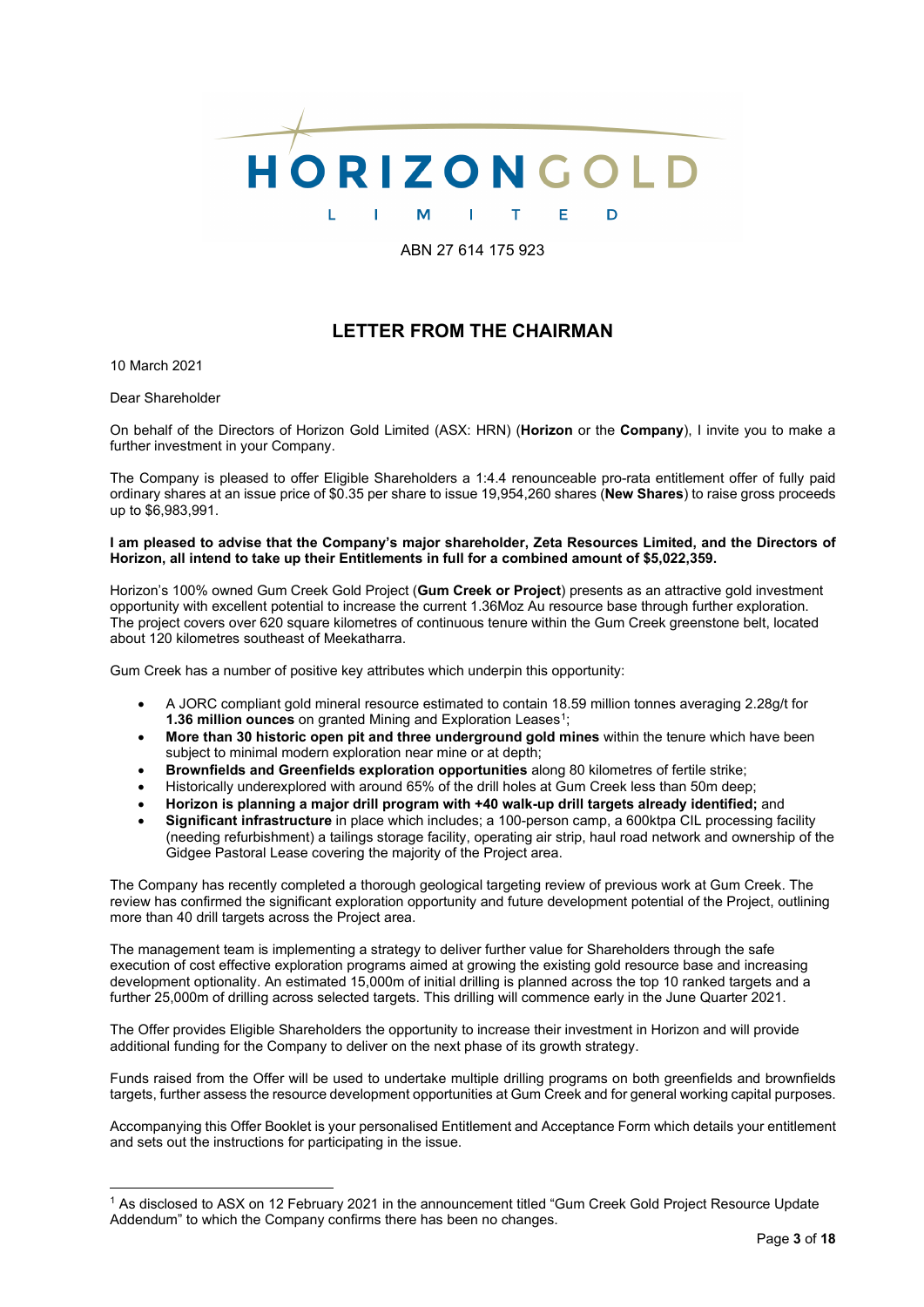

ABN 27 614 175 923

# **LETTER FROM THE CHAIRMAN**

10 March 2021

Dear Shareholder

On behalf of the Directors of Horizon Gold Limited (ASX: HRN) (**Horizon** or the **Company**), I invite you to make a further investment in your Company.

The Company is pleased to offer Eligible Shareholders a 1:4.4 renounceable pro-rata entitlement offer of fully paid ordinary shares at an issue price of \$0.35 per share to issue 19,954,260 shares (**New Shares**) to raise gross proceeds up to \$6,983,991.

**I am pleased to advise that the Company's major shareholder, Zeta Resources Limited, and the Directors of Horizon, all intend to take up their Entitlements in full for a combined amount of \$5,022,359.**

Horizon's 100% owned Gum Creek Gold Project (**Gum Creek or Project**) presents as an attractive gold investment opportunity with excellent potential to increase the current 1.36Moz Au resource base through further exploration. The project covers over 620 square kilometres of continuous tenure within the Gum Creek greenstone belt, located about 120 kilometres southeast of Meekatharra.

Gum Creek has a number of positive key attributes which underpin this opportunity:

- A JORC compliant gold mineral resource estimated to contain 18.59 million tonnes averaging 2.28g/t for **1.36 million ounces** on granted Mining and Exploration Leases<sup>1</sup>;
- **More than 30 historic open pit and three underground gold mines** within the tenure which have been subject to minimal modern exploration near mine or at depth;
- **Brownfields and Greenfields exploration opportunities** along 80 kilometres of fertile strike;
- Historically underexplored with around 65% of the drill holes at Gum Creek less than 50m deep;
- **Horizon is planning a major drill program with +40 walk-up drill targets already identified;** and
- **Significant infrastructure** in place which includes; a 100-person camp, a 600ktpa CIL processing facility (needing refurbishment) a tailings storage facility, operating air strip, haul road network and ownership of the Gidgee Pastoral Lease covering the majority of the Project area.

The Company has recently completed a thorough geological targeting review of previous work at Gum Creek. The review has confirmed the significant exploration opportunity and future development potential of the Project, outlining more than 40 drill targets across the Project area.

The management team is implementing a strategy to deliver further value for Shareholders through the safe execution of cost effective exploration programs aimed at growing the existing gold resource base and increasing development optionality. An estimated 15,000m of initial drilling is planned across the top 10 ranked targets and a further 25,000m of drilling across selected targets. This drilling will commence early in the June Quarter 2021.

The Offer provides Eligible Shareholders the opportunity to increase their investment in Horizon and will provide additional funding for the Company to deliver on the next phase of its growth strategy.

Funds raised from the Offer will be used to undertake multiple drilling programs on both greenfields and brownfields targets, further assess the resource development opportunities at Gum Creek and for general working capital purposes.

Accompanying this Offer Booklet is your personalised Entitlement and Acceptance Form which details your entitlement and sets out the instructions for participating in the issue.

<span id="page-2-0"></span><sup>1</sup> As disclosed to ASX on 12 February 2021 in the announcement titled "Gum Creek Gold Project Resource Update Addendum" to which the Company confirms there has been no changes.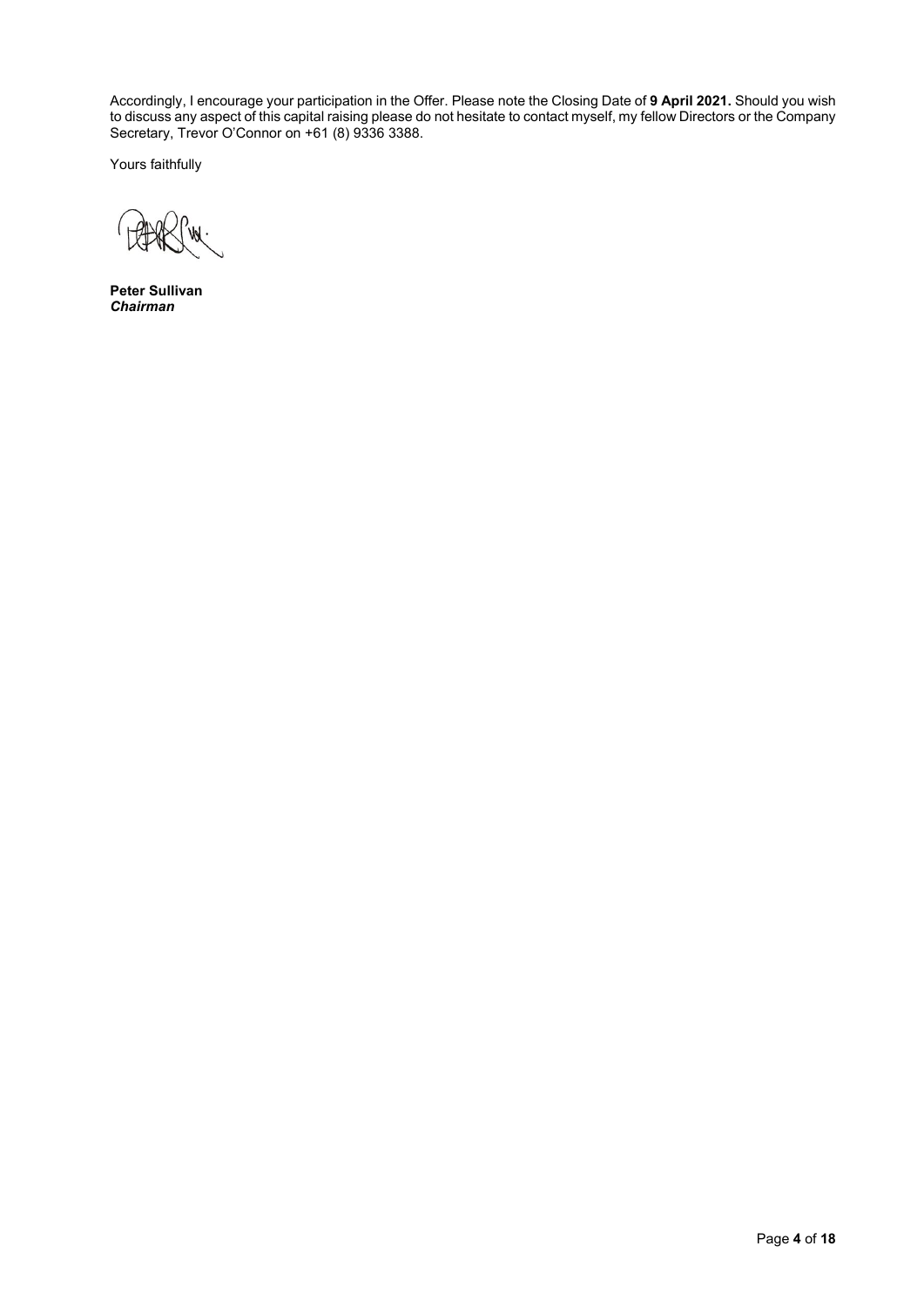Accordingly, I encourage your participation in the Offer. Please note the Closing Date of **9 April 2021.** Should you wish to discuss any aspect of this capital raising please do not hesitate to contact myself, my fellow Directors or the Company Secretary, Trevor O'Connor on +61 (8) 9336 3388.

Yours faithfully

**Peter Sullivan** *Chairman*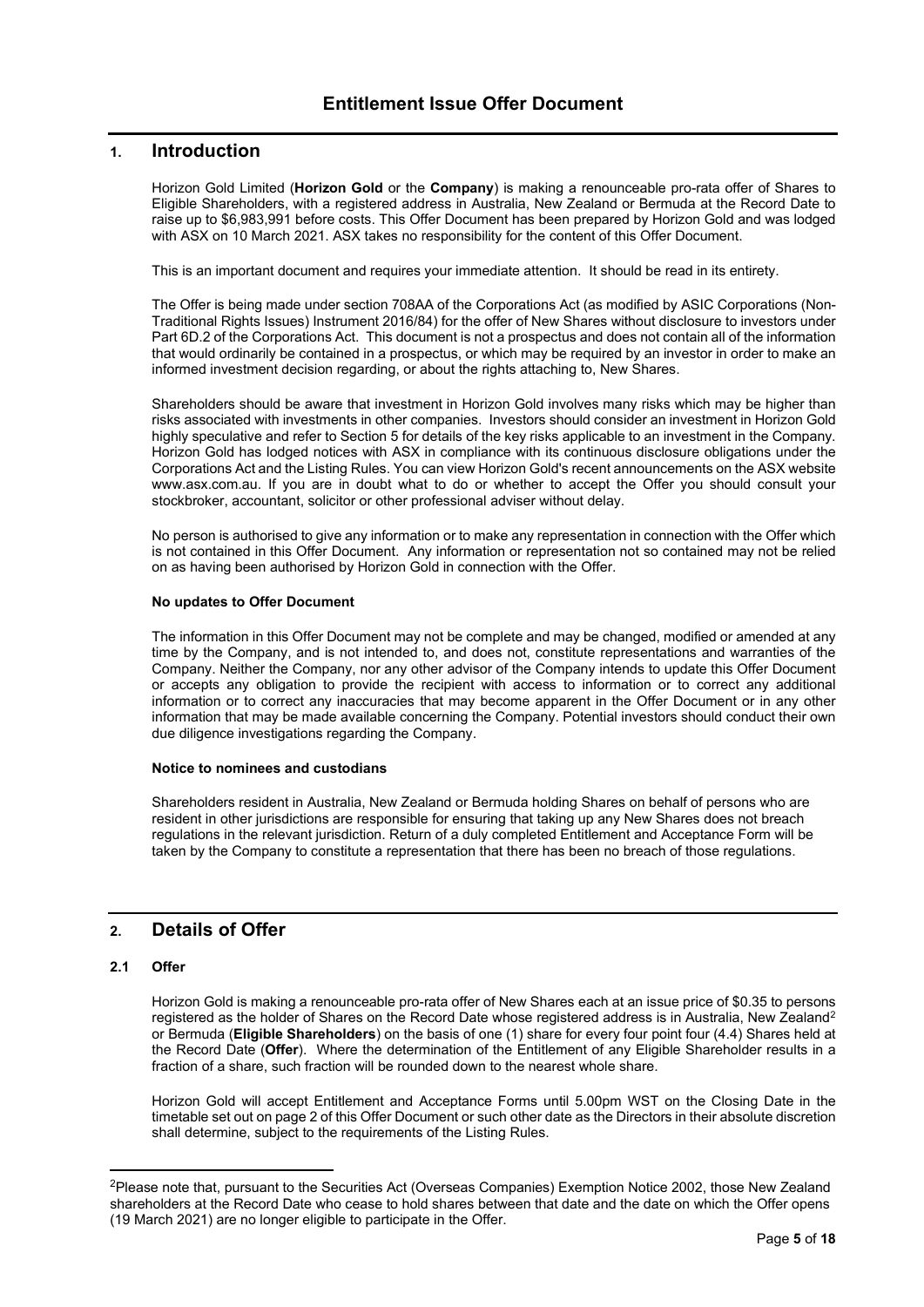# **1. Introduction**

Horizon Gold Limited (**Horizon Gold** or the **Company**) is making a renounceable pro-rata offer of Shares to Eligible Shareholders, with a registered address in Australia, New Zealand or Bermuda at the Record Date to raise up to \$6,983,991 before costs. This Offer Document has been prepared by Horizon Gold and was lodged with ASX on 10 March 2021. ASX takes no responsibility for the content of this Offer Document.

This is an important document and requires your immediate attention. It should be read in its entirety.

The Offer is being made under section 708AA of the Corporations Act (as modified by ASIC Corporations (Non-Traditional Rights Issues) Instrument 2016/84) for the offer of New Shares without disclosure to investors under Part 6D.2 of the Corporations Act. This document is not a prospectus and does not contain all of the information that would ordinarily be contained in a prospectus, or which may be required by an investor in order to make an informed investment decision regarding, or about the rights attaching to, New Shares.

Shareholders should be aware that investment in Horizon Gold involves many risks which may be higher than risks associated with investments in other companies. Investors should consider an investment in Horizon Gold highly speculative and refer to Sectio[n 5](#page-9-0) for details of the key risks applicable to an investment in the Company. Horizon Gold has lodged notices with ASX in compliance with its continuous disclosure obligations under the Corporations Act and the Listing Rules. You can view Horizon Gold's recent announcements on the ASX website www.asx.com.au. If you are in doubt what to do or whether to accept the Offer you should consult your stockbroker, accountant, solicitor or other professional adviser without delay.

No person is authorised to give any information or to make any representation in connection with the Offer which is not contained in this Offer Document. Any information or representation not so contained may not be relied on as having been authorised by Horizon Gold in connection with the Offer.

# **No updates to Offer Document**

The information in this Offer Document may not be complete and may be changed, modified or amended at any time by the Company, and is not intended to, and does not, constitute representations and warranties of the Company. Neither the Company, nor any other advisor of the Company intends to update this Offer Document or accepts any obligation to provide the recipient with access to information or to correct any additional information or to correct any inaccuracies that may become apparent in the Offer Document or in any other information that may be made available concerning the Company. Potential investors should conduct their own due diligence investigations regarding the Company.

#### **Notice to nominees and custodians**

Shareholders resident in Australia, New Zealand or Bermuda holding Shares on behalf of persons who are resident in other jurisdictions are responsible for ensuring that taking up any New Shares does not breach regulations in the relevant jurisdiction. Return of a duly completed Entitlement and Acceptance Form will be taken by the Company to constitute a representation that there has been no breach of those regulations.

# <span id="page-4-1"></span>**2. Details of Offer**

# **2.1 Offer**

Horizon Gold is making a renounceable pro-rata offer of New Shares each at an issue price of \$0.35 to persons registered as the holder of Shares on the Record Date whose registered address is in Australia, New Zealand<sup>[2](#page-4-0)</sup> or Bermuda (**Eligible Shareholders**) on the basis of one (1) share for every four point four (4.4) Shares held at the Record Date (**Offer**). Where the determination of the Entitlement of any Eligible Shareholder results in a fraction of a share, such fraction will be rounded down to the nearest whole share.

Horizon Gold will accept Entitlement and Acceptance Forms until 5.00pm WST on the Closing Date in the timetable set out on page 2 of this Offer Document or such other date as the Directors in their absolute discretion shall determine, subject to the requirements of the Listing Rules.

<span id="page-4-0"></span><sup>&</sup>lt;sup>2</sup>Please note that, pursuant to the Securities Act (Overseas Companies) Exemption Notice 2002, those New Zealand shareholders at the Record Date who cease to hold shares between that date and the date on which the Offer opens (19 March 2021) are no longer eligible to participate in the Offer.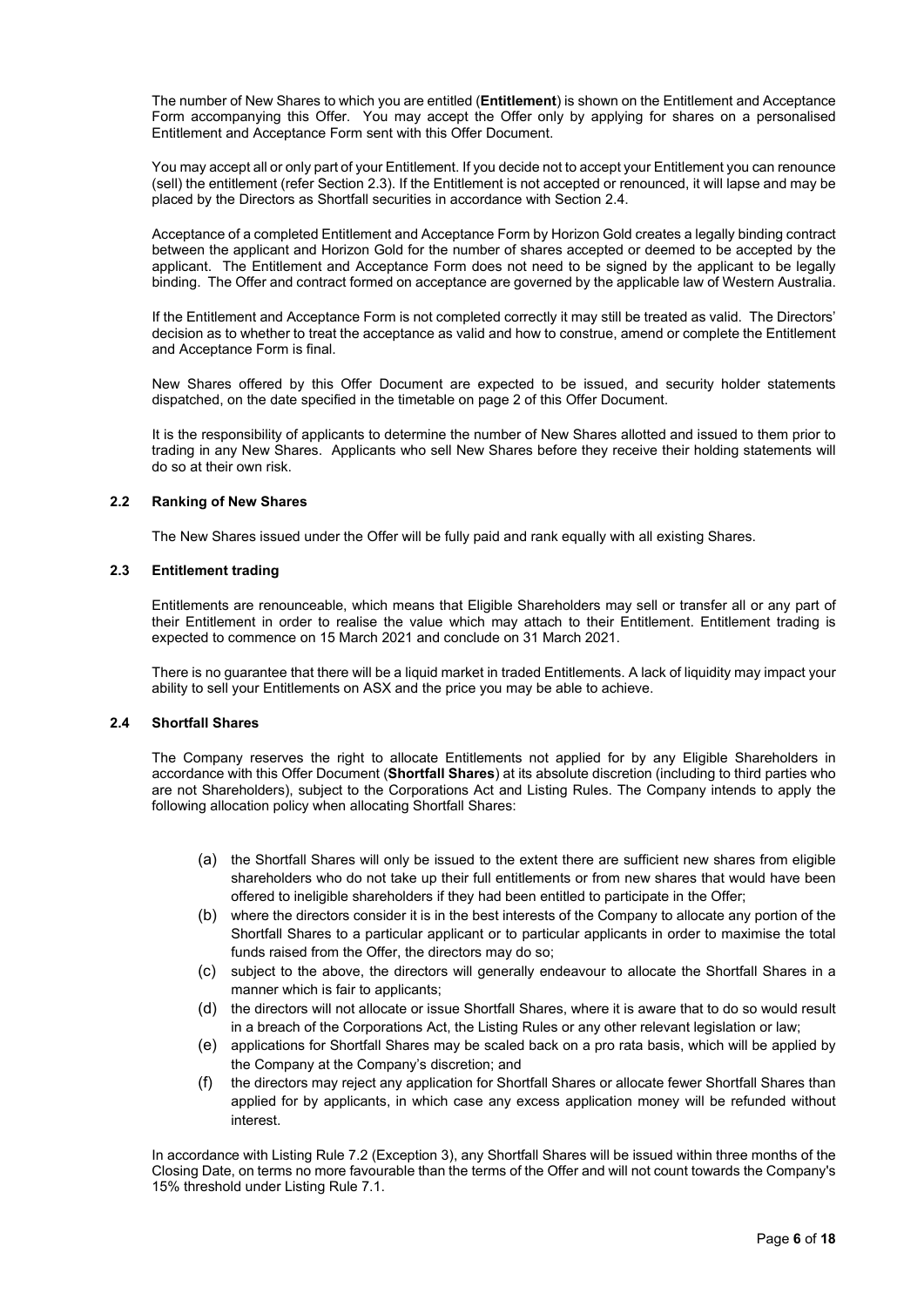The number of New Shares to which you are entitled (**Entitlement**) is shown on the Entitlement and Acceptance Form accompanying this Offer. You may accept the Offer only by applying for shares on a personalised Entitlement and Acceptance Form sent with this Offer Document.

You may accept all or only part of your Entitlement. If you decide not to accept your Entitlement you can renounce (sell) the entitlement (refer Section [2.3\)](#page-5-0). If the Entitlement is not accepted or renounced, it will lapse and may be placed by the Directors as Shortfall securities in accordance with Section [2.4.](#page-5-1)

Acceptance of a completed Entitlement and Acceptance Form by Horizon Gold creates a legally binding contract between the applicant and Horizon Gold for the number of shares accepted or deemed to be accepted by the applicant. The Entitlement and Acceptance Form does not need to be signed by the applicant to be legally binding. The Offer and contract formed on acceptance are governed by the applicable law of Western Australia.

If the Entitlement and Acceptance Form is not completed correctly it may still be treated as valid. The Directors' decision as to whether to treat the acceptance as valid and how to construe, amend or complete the Entitlement and Acceptance Form is final.

New Shares offered by this Offer Document are expected to be issued, and security holder statements dispatched, on the date specified in the timetable on page 2 of this Offer Document.

It is the responsibility of applicants to determine the number of New Shares allotted and issued to them prior to trading in any New Shares. Applicants who sell New Shares before they receive their holding statements will do so at their own risk.

# **2.2 Ranking of New Shares**

The New Shares issued under the Offer will be fully paid and rank equally with all existing Shares.

# <span id="page-5-0"></span>**2.3 Entitlement trading**

Entitlements are renounceable, which means that Eligible Shareholders may sell or transfer all or any part of their Entitlement in order to realise the value which may attach to their Entitlement. Entitlement trading is expected to commence on 15 March 2021 and conclude on 31 March 2021.

There is no guarantee that there will be a liquid market in traded Entitlements. A lack of liquidity may impact your ability to sell your Entitlements on ASX and the price you may be able to achieve.

# <span id="page-5-1"></span>**2.4 Shortfall Shares**

The Company reserves the right to allocate Entitlements not applied for by any Eligible Shareholders in accordance with this Offer Document (**Shortfall Shares**) at its absolute discretion (including to third parties who are not Shareholders), subject to the Corporations Act and Listing Rules. The Company intends to apply the following allocation policy when allocating Shortfall Shares:

- (a) the Shortfall Shares will only be issued to the extent there are sufficient new shares from eligible shareholders who do not take up their full entitlements or from new shares that would have been offered to ineligible shareholders if they had been entitled to participate in the Offer;
- (b) where the directors consider it is in the best interests of the Company to allocate any portion of the Shortfall Shares to a particular applicant or to particular applicants in order to maximise the total funds raised from the Offer, the directors may do so;
- (c) subject to the above, the directors will generally endeavour to allocate the Shortfall Shares in a manner which is fair to applicants;
- (d) the directors will not allocate or issue Shortfall Shares, where it is aware that to do so would result in a breach of the Corporations Act, the Listing Rules or any other relevant legislation or law;
- (e) applications for Shortfall Shares may be scaled back on a pro rata basis, which will be applied by the Company at the Company's discretion; and
- (f) the directors may reject any application for Shortfall Shares or allocate fewer Shortfall Shares than applied for by applicants, in which case any excess application money will be refunded without interest.

In accordance with Listing Rule 7.2 (Exception 3), any Shortfall Shares will be issued within three months of the Closing Date, on terms no more favourable than the terms of the Offer and will not count towards the Company's 15% threshold under Listing Rule 7.1.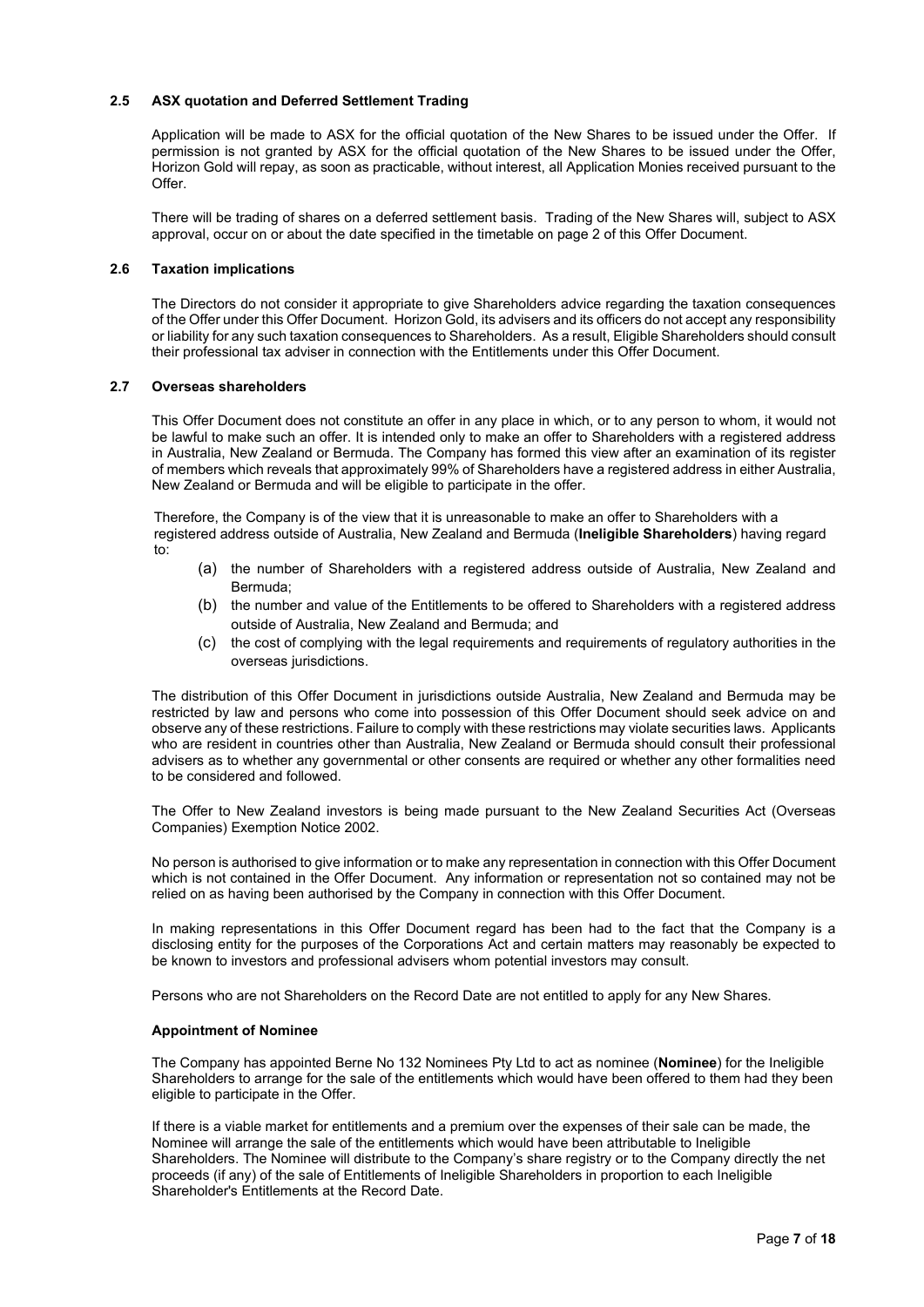# **2.5 ASX quotation and Deferred Settlement Trading**

Application will be made to ASX for the official quotation of the New Shares to be issued under the Offer. If permission is not granted by ASX for the official quotation of the New Shares to be issued under the Offer, Horizon Gold will repay, as soon as practicable, without interest, all Application Monies received pursuant to the  $Offer$ 

There will be trading of shares on a deferred settlement basis. Trading of the New Shares will, subject to ASX approval, occur on or about the date specified in the timetable on page 2 of this Offer Document.

#### **2.6 Taxation implications**

The Directors do not consider it appropriate to give Shareholders advice regarding the taxation consequences of the Offer under this Offer Document. Horizon Gold, its advisers and its officers do not accept any responsibility or liability for any such taxation consequences to Shareholders. As a result, Eligible Shareholders should consult their professional tax adviser in connection with the Entitlements under this Offer Document.

#### **2.7 Overseas shareholders**

This Offer Document does not constitute an offer in any place in which, or to any person to whom, it would not be lawful to make such an offer. It is intended only to make an offer to Shareholders with a registered address in Australia, New Zealand or Bermuda. The Company has formed this view after an examination of its register of members which reveals that approximately 99% of Shareholders have a registered address in either Australia, New Zealand or Bermuda and will be eligible to participate in the offer.

Therefore, the Company is of the view that it is unreasonable to make an offer to Shareholders with a registered address outside of Australia, New Zealand and Bermuda (**Ineligible Shareholders**) having regard to:

- (a) the number of Shareholders with a registered address outside of Australia, New Zealand and Bermuda;
- (b) the number and value of the Entitlements to be offered to Shareholders with a registered address outside of Australia, New Zealand and Bermuda; and
- (c) the cost of complying with the legal requirements and requirements of regulatory authorities in the overseas jurisdictions.

The distribution of this Offer Document in jurisdictions outside Australia, New Zealand and Bermuda may be restricted by law and persons who come into possession of this Offer Document should seek advice on and observe any of these restrictions. Failure to comply with these restrictions may violate securities laws. Applicants who are resident in countries other than Australia, New Zealand or Bermuda should consult their professional advisers as to whether any governmental or other consents are required or whether any other formalities need to be considered and followed.

The Offer to New Zealand investors is being made pursuant to the New Zealand Securities Act (Overseas Companies) Exemption Notice 2002.

No person is authorised to give information or to make any representation in connection with this Offer Document which is not contained in the Offer Document. Any information or representation not so contained may not be relied on as having been authorised by the Company in connection with this Offer Document.

In making representations in this Offer Document regard has been had to the fact that the Company is a disclosing entity for the purposes of the Corporations Act and certain matters may reasonably be expected to be known to investors and professional advisers whom potential investors may consult.

Persons who are not Shareholders on the Record Date are not entitled to apply for any New Shares.

# **Appointment of Nominee**

The Company has appointed Berne No 132 Nominees Pty Ltd to act as nominee (**Nominee**) for the Ineligible Shareholders to arrange for the sale of the entitlements which would have been offered to them had they been eligible to participate in the Offer.

If there is a viable market for entitlements and a premium over the expenses of their sale can be made, the Nominee will arrange the sale of the entitlements which would have been attributable to Ineligible Shareholders. The Nominee will distribute to the Company's share registry or to the Company directly the net proceeds (if any) of the sale of Entitlements of Ineligible Shareholders in proportion to each Ineligible Shareholder's Entitlements at the Record Date.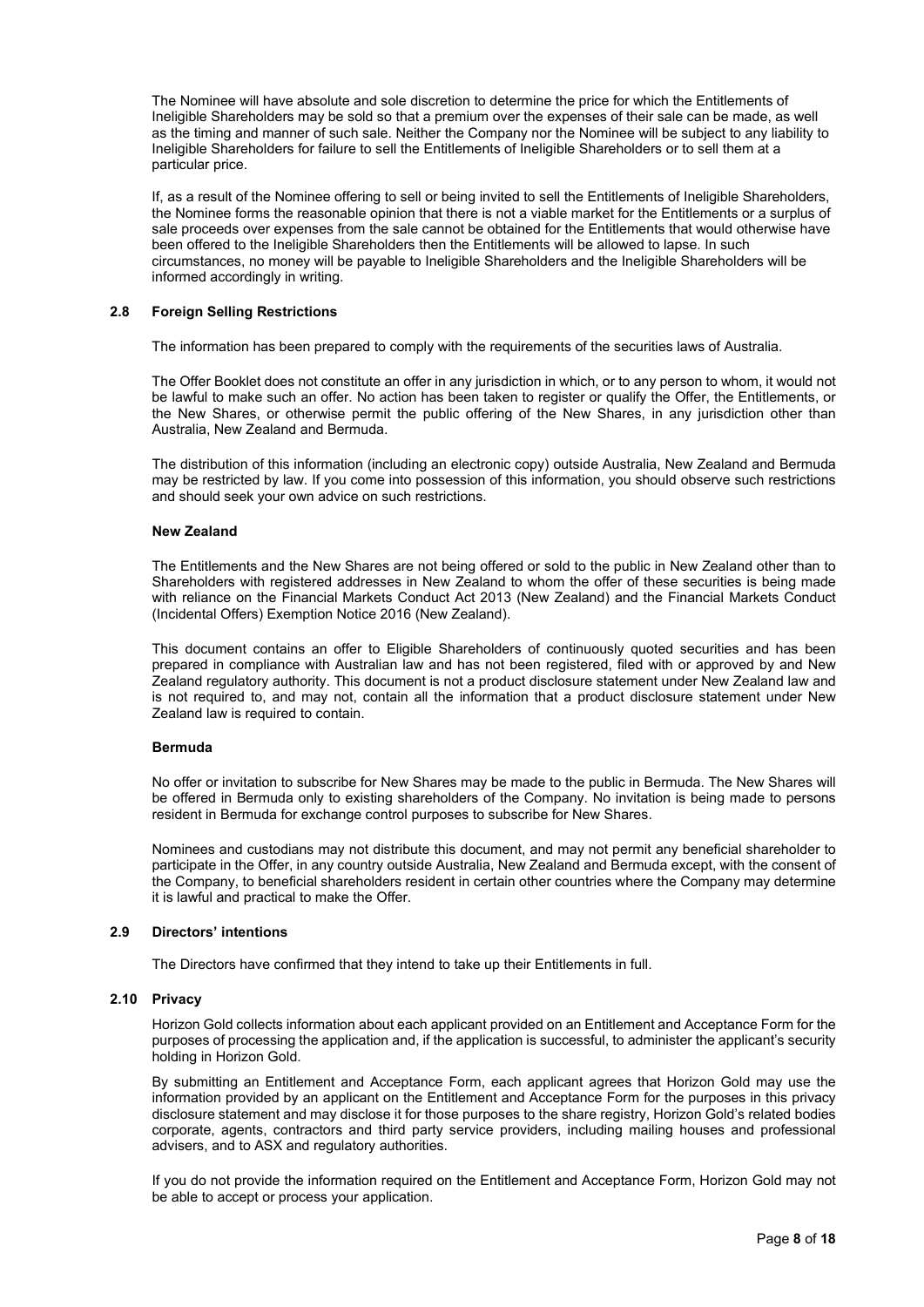The Nominee will have absolute and sole discretion to determine the price for which the Entitlements of Ineligible Shareholders may be sold so that a premium over the expenses of their sale can be made, as well as the timing and manner of such sale. Neither the Company nor the Nominee will be subject to any liability to Ineligible Shareholders for failure to sell the Entitlements of Ineligible Shareholders or to sell them at a particular price.

If, as a result of the Nominee offering to sell or being invited to sell the Entitlements of Ineligible Shareholders, the Nominee forms the reasonable opinion that there is not a viable market for the Entitlements or a surplus of sale proceeds over expenses from the sale cannot be obtained for the Entitlements that would otherwise have been offered to the Ineligible Shareholders then the Entitlements will be allowed to lapse. In such circumstances, no money will be payable to Ineligible Shareholders and the Ineligible Shareholders will be informed accordingly in writing.

#### **2.8 Foreign Selling Restrictions**

The information has been prepared to comply with the requirements of the securities laws of Australia.

The Offer Booklet does not constitute an offer in any jurisdiction in which, or to any person to whom, it would not be lawful to make such an offer. No action has been taken to register or qualify the Offer, the Entitlements, or the New Shares, or otherwise permit the public offering of the New Shares, in any jurisdiction other than Australia, New Zealand and Bermuda.

The distribution of this information (including an electronic copy) outside Australia, New Zealand and Bermuda may be restricted by law. If you come into possession of this information, you should observe such restrictions and should seek your own advice on such restrictions.

#### **New Zealand**

The Entitlements and the New Shares are not being offered or sold to the public in New Zealand other than to Shareholders with registered addresses in New Zealand to whom the offer of these securities is being made with reliance on the Financial Markets Conduct Act 2013 (New Zealand) and the Financial Markets Conduct (Incidental Offers) Exemption Notice 2016 (New Zealand).

This document contains an offer to Eligible Shareholders of continuously quoted securities and has been prepared in compliance with Australian law and has not been registered, filed with or approved by and New Zealand regulatory authority. This document is not a product disclosure statement under New Zealand law and is not required to, and may not, contain all the information that a product disclosure statement under New Zealand law is required to contain.

#### **Bermuda**

No offer or invitation to subscribe for New Shares may be made to the public in Bermuda. The New Shares will be offered in Bermuda only to existing shareholders of the Company. No invitation is being made to persons resident in Bermuda for exchange control purposes to subscribe for New Shares.

Nominees and custodians may not distribute this document, and may not permit any beneficial shareholder to participate in the Offer, in any country outside Australia, New Zealand and Bermuda except, with the consent of the Company, to beneficial shareholders resident in certain other countries where the Company may determine it is lawful and practical to make the Offer.

#### **2.9 Directors' intentions**

The Directors have confirmed that they intend to take up their Entitlements in full.

#### **2.10 Privacy**

Horizon Gold collects information about each applicant provided on an Entitlement and Acceptance Form for the purposes of processing the application and, if the application is successful, to administer the applicant's security holding in Horizon Gold.

By submitting an Entitlement and Acceptance Form, each applicant agrees that Horizon Gold may use the information provided by an applicant on the Entitlement and Acceptance Form for the purposes in this privacy disclosure statement and may disclose it for those purposes to the share registry, Horizon Gold's related bodies corporate, agents, contractors and third party service providers, including mailing houses and professional advisers, and to ASX and regulatory authorities.

If you do not provide the information required on the Entitlement and Acceptance Form, Horizon Gold may not be able to accept or process your application.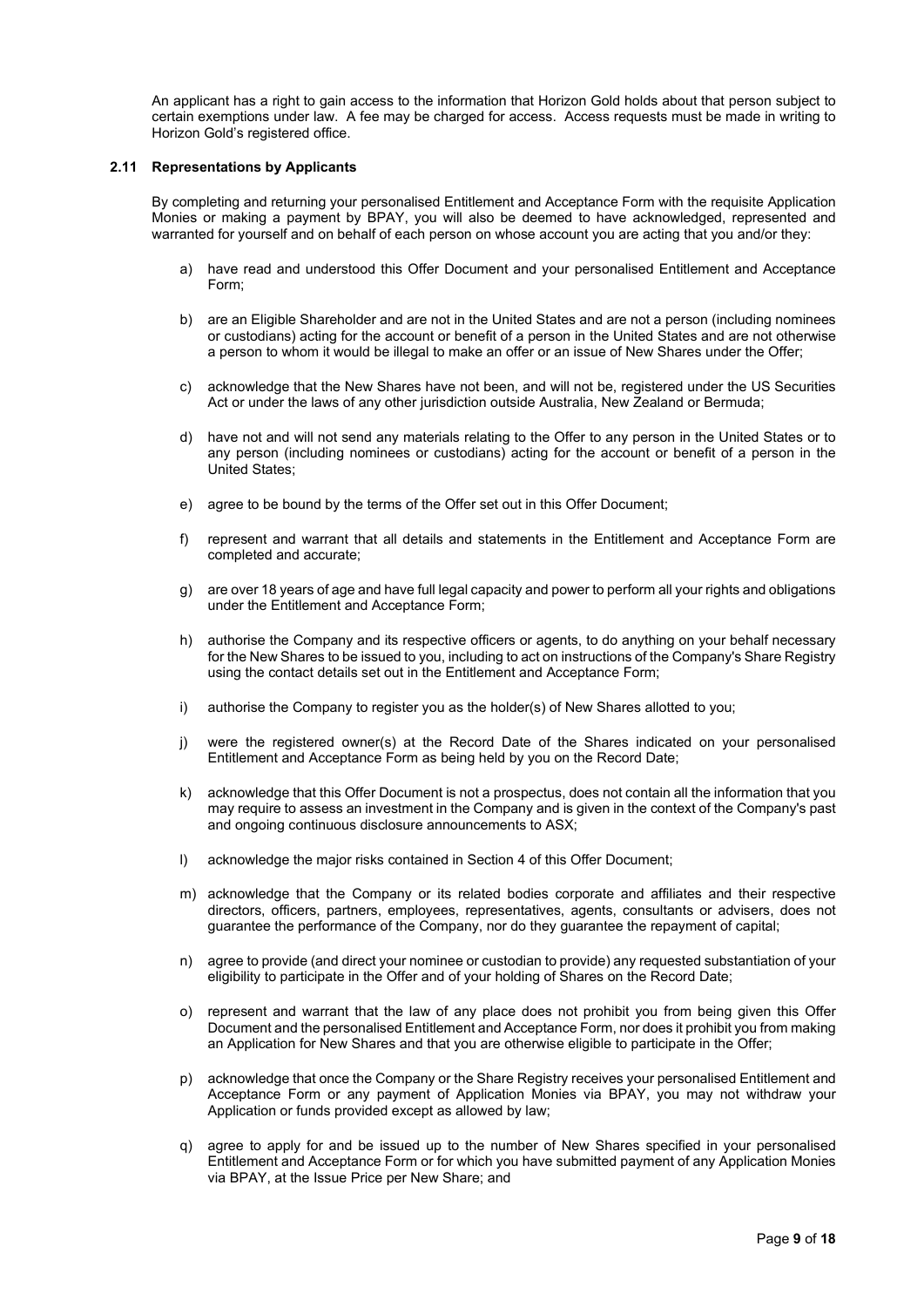An applicant has a right to gain access to the information that Horizon Gold holds about that person subject to certain exemptions under law. A fee may be charged for access. Access requests must be made in writing to Horizon Gold's registered office.

#### **2.11 Representations by Applicants**

By completing and returning your personalised Entitlement and Acceptance Form with the requisite Application Monies or making a payment by BPAY, you will also be deemed to have acknowledged, represented and warranted for yourself and on behalf of each person on whose account you are acting that you and/or they:

- a) have read and understood this Offer Document and your personalised Entitlement and Acceptance Form;
- b) are an Eligible Shareholder and are not in the United States and are not a person (including nominees or custodians) acting for the account or benefit of a person in the United States and are not otherwise a person to whom it would be illegal to make an offer or an issue of New Shares under the Offer;
- c) acknowledge that the New Shares have not been, and will not be, registered under the US Securities Act or under the laws of any other jurisdiction outside Australia, New Zealand or Bermuda;
- d) have not and will not send any materials relating to the Offer to any person in the United States or to any person (including nominees or custodians) acting for the account or benefit of a person in the United States;
- e) agree to be bound by the terms of the Offer set out in this Offer Document;
- f) represent and warrant that all details and statements in the Entitlement and Acceptance Form are completed and accurate;
- g) are over 18 years of age and have full legal capacity and power to perform all your rights and obligations under the Entitlement and Acceptance Form;
- h) authorise the Company and its respective officers or agents, to do anything on your behalf necessary for the New Shares to be issued to you, including to act on instructions of the Company's Share Registry using the contact details set out in the Entitlement and Acceptance Form;
- i) authorise the Company to register you as the holder(s) of New Shares allotted to you;
- j) were the registered owner(s) at the Record Date of the Shares indicated on your personalised Entitlement and Acceptance Form as being held by you on the Record Date;
- k) acknowledge that this Offer Document is not a prospectus, does not contain all the information that you may require to assess an investment in the Company and is given in the context of the Company's past and ongoing continuous disclosure announcements to ASX;
- l) acknowledge the major risks contained in Section 4 of this Offer Document;
- m) acknowledge that the Company or its related bodies corporate and affiliates and their respective directors, officers, partners, employees, representatives, agents, consultants or advisers, does not guarantee the performance of the Company, nor do they guarantee the repayment of capital;
- n) agree to provide (and direct your nominee or custodian to provide) any requested substantiation of your eligibility to participate in the Offer and of your holding of Shares on the Record Date;
- o) represent and warrant that the law of any place does not prohibit you from being given this Offer Document and the personalised Entitlement and Acceptance Form, nor does it prohibit you from making an Application for New Shares and that you are otherwise eligible to participate in the Offer;
- p) acknowledge that once the Company or the Share Registry receives your personalised Entitlement and Acceptance Form or any payment of Application Monies via BPAY, you may not withdraw your Application or funds provided except as allowed by law;
- agree to apply for and be issued up to the number of New Shares specified in your personalised Entitlement and Acceptance Form or for which you have submitted payment of any Application Monies via BPAY, at the Issue Price per New Share; and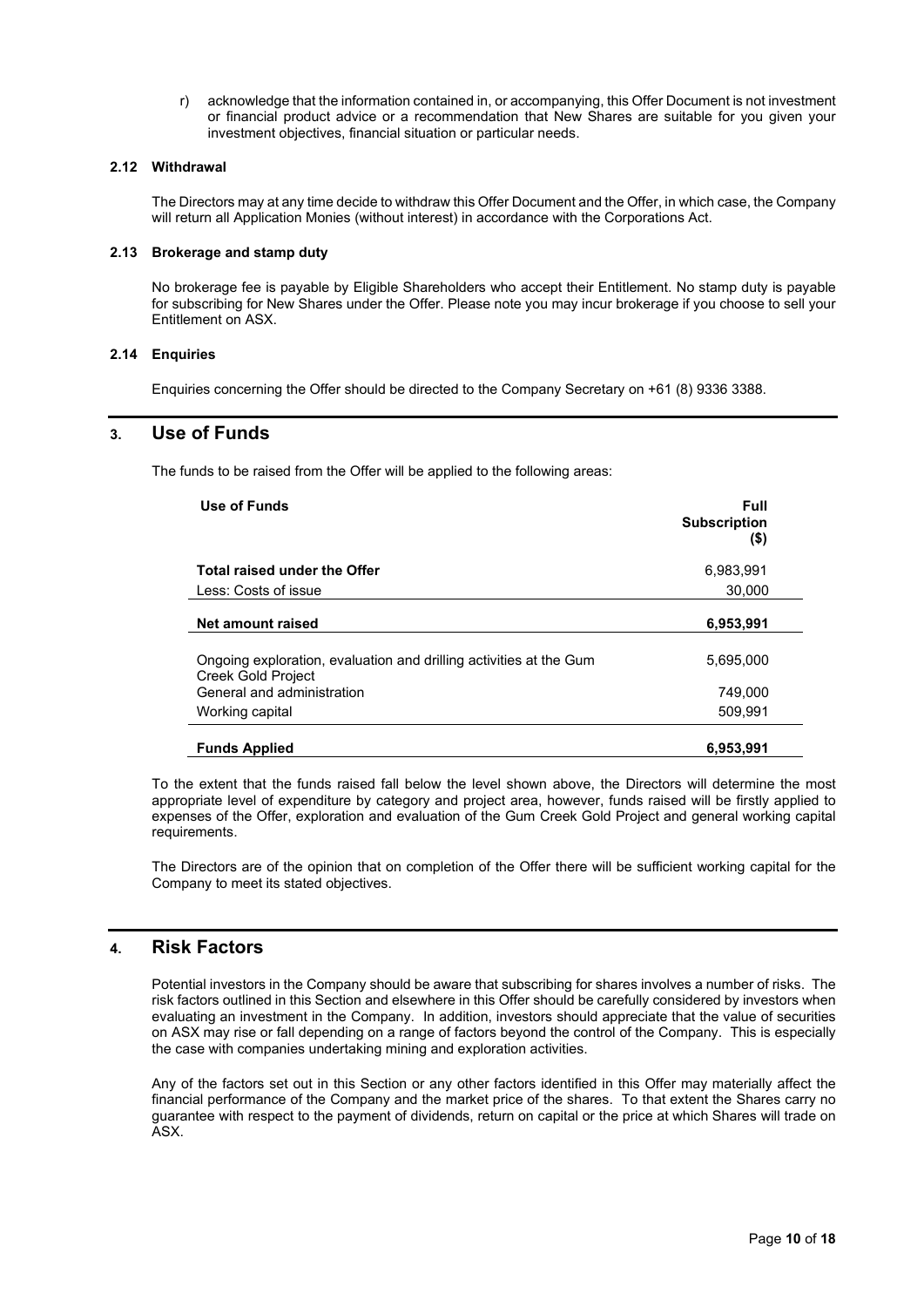r) acknowledge that the information contained in, or accompanying, this Offer Document is not investment or financial product advice or a recommendation that New Shares are suitable for you given your investment objectives, financial situation or particular needs.

# **2.12 Withdrawal**

The Directors may at any time decide to withdraw this Offer Document and the Offer, in which case, the Company will return all Application Monies (without interest) in accordance with the Corporations Act.

# **2.13 Brokerage and stamp duty**

No brokerage fee is payable by Eligible Shareholders who accept their Entitlement. No stamp duty is payable for subscribing for New Shares under the Offer. Please note you may incur brokerage if you choose to sell your Entitlement on ASX.

# **2.14 Enquiries**

Enquiries concerning the Offer should be directed to the Company Secretary on +61 (8) 9336 3388.

# **3. Use of Funds**

The funds to be raised from the Offer will be applied to the following areas:

| Use of Funds                                                                             | Full<br><b>Subscription</b><br>(\$) |
|------------------------------------------------------------------------------------------|-------------------------------------|
| Total raised under the Offer                                                             | 6,983,991                           |
| Less: Costs of issue                                                                     | 30.000                              |
| Net amount raised                                                                        | 6,953,991                           |
| Ongoing exploration, evaluation and drilling activities at the Gum<br>Creek Gold Project | 5,695,000                           |
| General and administration                                                               | 749.000                             |
| Working capital                                                                          | 509,991                             |
| <b>Funds Applied</b>                                                                     | 6,953,991                           |

To the extent that the funds raised fall below the level shown above, the Directors will determine the most appropriate level of expenditure by category and project area, however, funds raised will be firstly applied to expenses of the Offer, exploration and evaluation of the Gum Creek Gold Project and general working capital requirements.

The Directors are of the opinion that on completion of the Offer there will be sufficient working capital for the Company to meet its stated objectives.

# <span id="page-9-0"></span>**4. Risk Factors**

Potential investors in the Company should be aware that subscribing for shares involves a number of risks. The risk factors outlined in this Section and elsewhere in this Offer should be carefully considered by investors when evaluating an investment in the Company. In addition, investors should appreciate that the value of securities on ASX may rise or fall depending on a range of factors beyond the control of the Company. This is especially the case with companies undertaking mining and exploration activities.

Any of the factors set out in this Section or any other factors identified in this Offer may materially affect the financial performance of the Company and the market price of the shares. To that extent the Shares carry no guarantee with respect to the payment of dividends, return on capital or the price at which Shares will trade on ASX.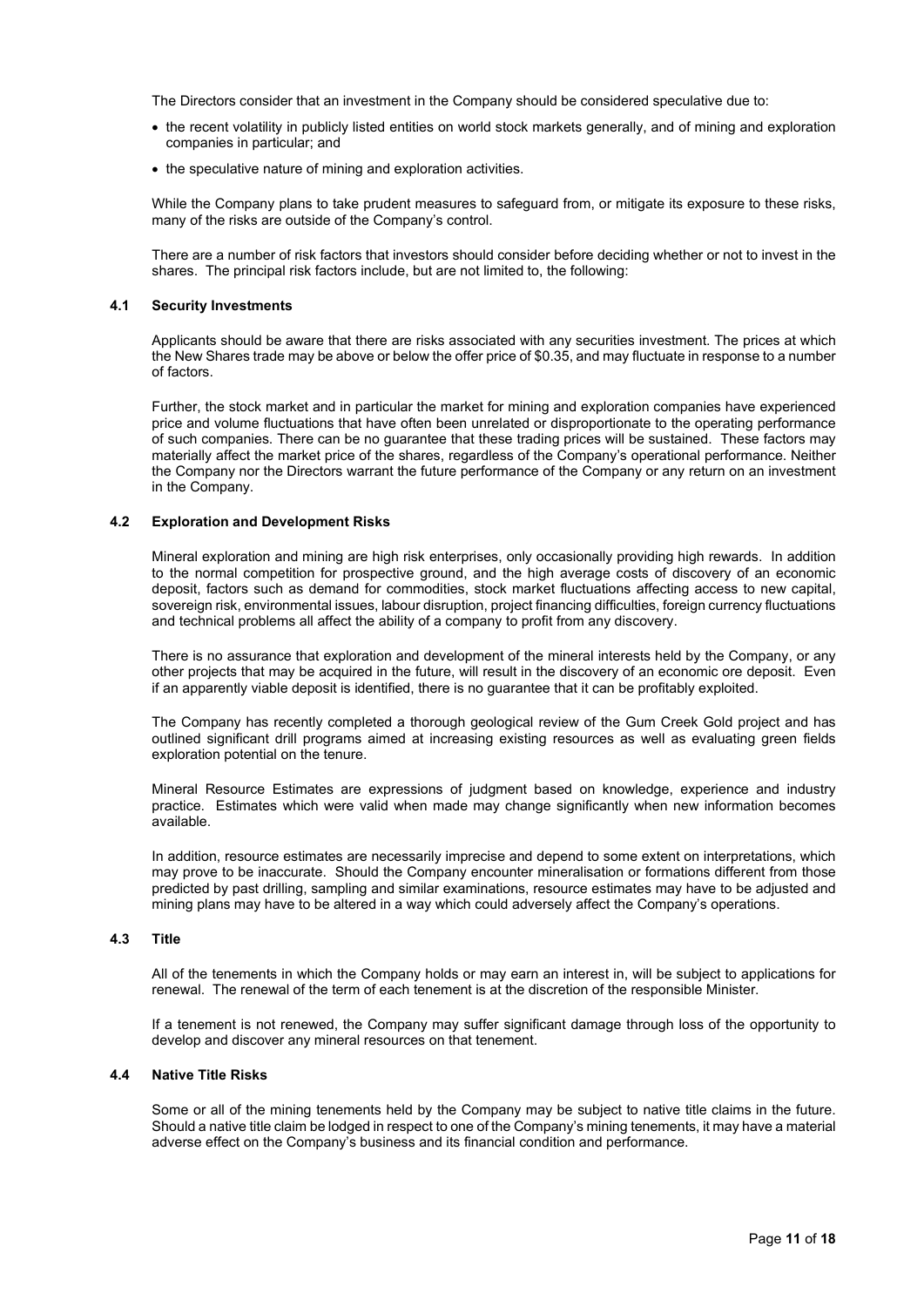The Directors consider that an investment in the Company should be considered speculative due to:

- the recent volatility in publicly listed entities on world stock markets generally, and of mining and exploration companies in particular; and
- the speculative nature of mining and exploration activities.

While the Company plans to take prudent measures to safeguard from, or mitigate its exposure to these risks, many of the risks are outside of the Company's control.

There are a number of risk factors that investors should consider before deciding whether or not to invest in the shares. The principal risk factors include, but are not limited to, the following:

#### **4.1 Security Investments**

Applicants should be aware that there are risks associated with any securities investment. The prices at which the New Shares trade may be above or below the offer price of \$0.35, and may fluctuate in response to a number of factors.

Further, the stock market and in particular the market for mining and exploration companies have experienced price and volume fluctuations that have often been unrelated or disproportionate to the operating performance of such companies. There can be no guarantee that these trading prices will be sustained. These factors may materially affect the market price of the shares, regardless of the Company's operational performance. Neither the Company nor the Directors warrant the future performance of the Company or any return on an investment in the Company.

#### **4.2 Exploration and Development Risks**

Mineral exploration and mining are high risk enterprises, only occasionally providing high rewards. In addition to the normal competition for prospective ground, and the high average costs of discovery of an economic deposit, factors such as demand for commodities, stock market fluctuations affecting access to new capital, sovereign risk, environmental issues, labour disruption, project financing difficulties, foreign currency fluctuations and technical problems all affect the ability of a company to profit from any discovery.

There is no assurance that exploration and development of the mineral interests held by the Company, or any other projects that may be acquired in the future, will result in the discovery of an economic ore deposit. Even if an apparently viable deposit is identified, there is no guarantee that it can be profitably exploited.

The Company has recently completed a thorough geological review of the Gum Creek Gold project and has outlined significant drill programs aimed at increasing existing resources as well as evaluating green fields exploration potential on the tenure.

Mineral Resource Estimates are expressions of judgment based on knowledge, experience and industry practice. Estimates which were valid when made may change significantly when new information becomes available.

In addition, resource estimates are necessarily imprecise and depend to some extent on interpretations, which may prove to be inaccurate. Should the Company encounter mineralisation or formations different from those predicted by past drilling, sampling and similar examinations, resource estimates may have to be adjusted and mining plans may have to be altered in a way which could adversely affect the Company's operations.

#### **4.3 Title**

All of the tenements in which the Company holds or may earn an interest in, will be subject to applications for renewal. The renewal of the term of each tenement is at the discretion of the responsible Minister.

If a tenement is not renewed, the Company may suffer significant damage through loss of the opportunity to develop and discover any mineral resources on that tenement.

#### **4.4 Native Title Risks**

Some or all of the mining tenements held by the Company may be subject to native title claims in the future. Should a native title claim be lodged in respect to one of the Company's mining tenements, it may have a material adverse effect on the Company's business and its financial condition and performance.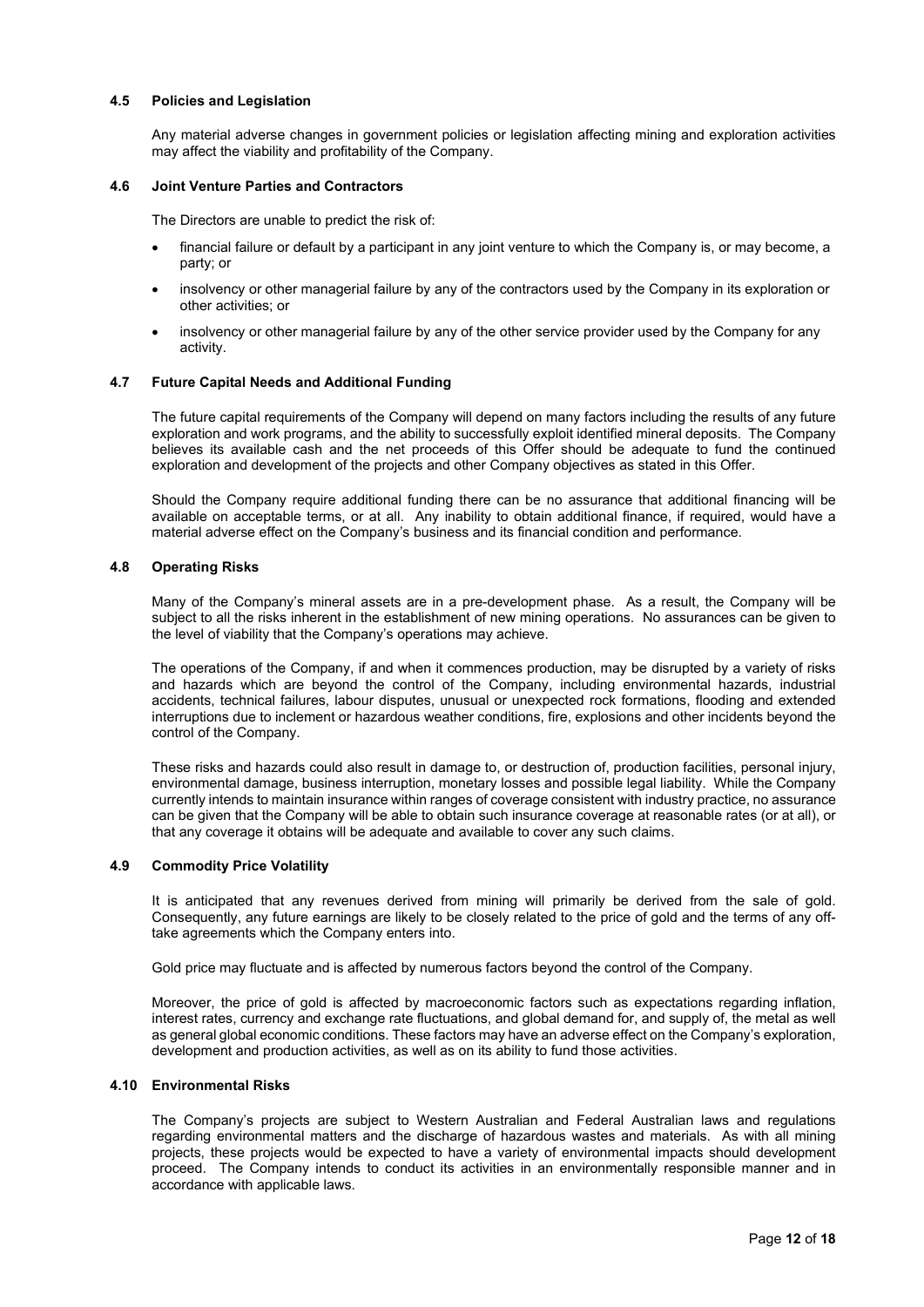#### **4.5 Policies and Legislation**

Any material adverse changes in government policies or legislation affecting mining and exploration activities may affect the viability and profitability of the Company.

#### **4.6 Joint Venture Parties and Contractors**

The Directors are unable to predict the risk of:

- financial failure or default by a participant in any joint venture to which the Company is, or may become, a party; or
- insolvency or other managerial failure by any of the contractors used by the Company in its exploration or other activities; or
- insolvency or other managerial failure by any of the other service provider used by the Company for any activity.

#### **4.7 Future Capital Needs and Additional Funding**

The future capital requirements of the Company will depend on many factors including the results of any future exploration and work programs, and the ability to successfully exploit identified mineral deposits. The Company believes its available cash and the net proceeds of this Offer should be adequate to fund the continued exploration and development of the projects and other Company objectives as stated in this Offer.

Should the Company require additional funding there can be no assurance that additional financing will be available on acceptable terms, or at all. Any inability to obtain additional finance, if required, would have a material adverse effect on the Company's business and its financial condition and performance.

#### **4.8 Operating Risks**

Many of the Company's mineral assets are in a pre-development phase. As a result, the Company will be subject to all the risks inherent in the establishment of new mining operations. No assurances can be given to the level of viability that the Company's operations may achieve.

The operations of the Company, if and when it commences production, may be disrupted by a variety of risks and hazards which are beyond the control of the Company, including environmental hazards, industrial accidents, technical failures, labour disputes, unusual or unexpected rock formations, flooding and extended interruptions due to inclement or hazardous weather conditions, fire, explosions and other incidents beyond the control of the Company.

These risks and hazards could also result in damage to, or destruction of, production facilities, personal injury, environmental damage, business interruption, monetary losses and possible legal liability. While the Company currently intends to maintain insurance within ranges of coverage consistent with industry practice, no assurance can be given that the Company will be able to obtain such insurance coverage at reasonable rates (or at all), or that any coverage it obtains will be adequate and available to cover any such claims.

#### **4.9 Commodity Price Volatility**

It is anticipated that any revenues derived from mining will primarily be derived from the sale of gold. Consequently, any future earnings are likely to be closely related to the price of gold and the terms of any offtake agreements which the Company enters into.

Gold price may fluctuate and is affected by numerous factors beyond the control of the Company.

Moreover, the price of gold is affected by macroeconomic factors such as expectations regarding inflation, interest rates, currency and exchange rate fluctuations, and global demand for, and supply of, the metal as well as general global economic conditions. These factors may have an adverse effect on the Company's exploration, development and production activities, as well as on its ability to fund those activities.

# **4.10 Environmental Risks**

The Company's projects are subject to Western Australian and Federal Australian laws and regulations regarding environmental matters and the discharge of hazardous wastes and materials. As with all mining projects, these projects would be expected to have a variety of environmental impacts should development proceed. The Company intends to conduct its activities in an environmentally responsible manner and in accordance with applicable laws.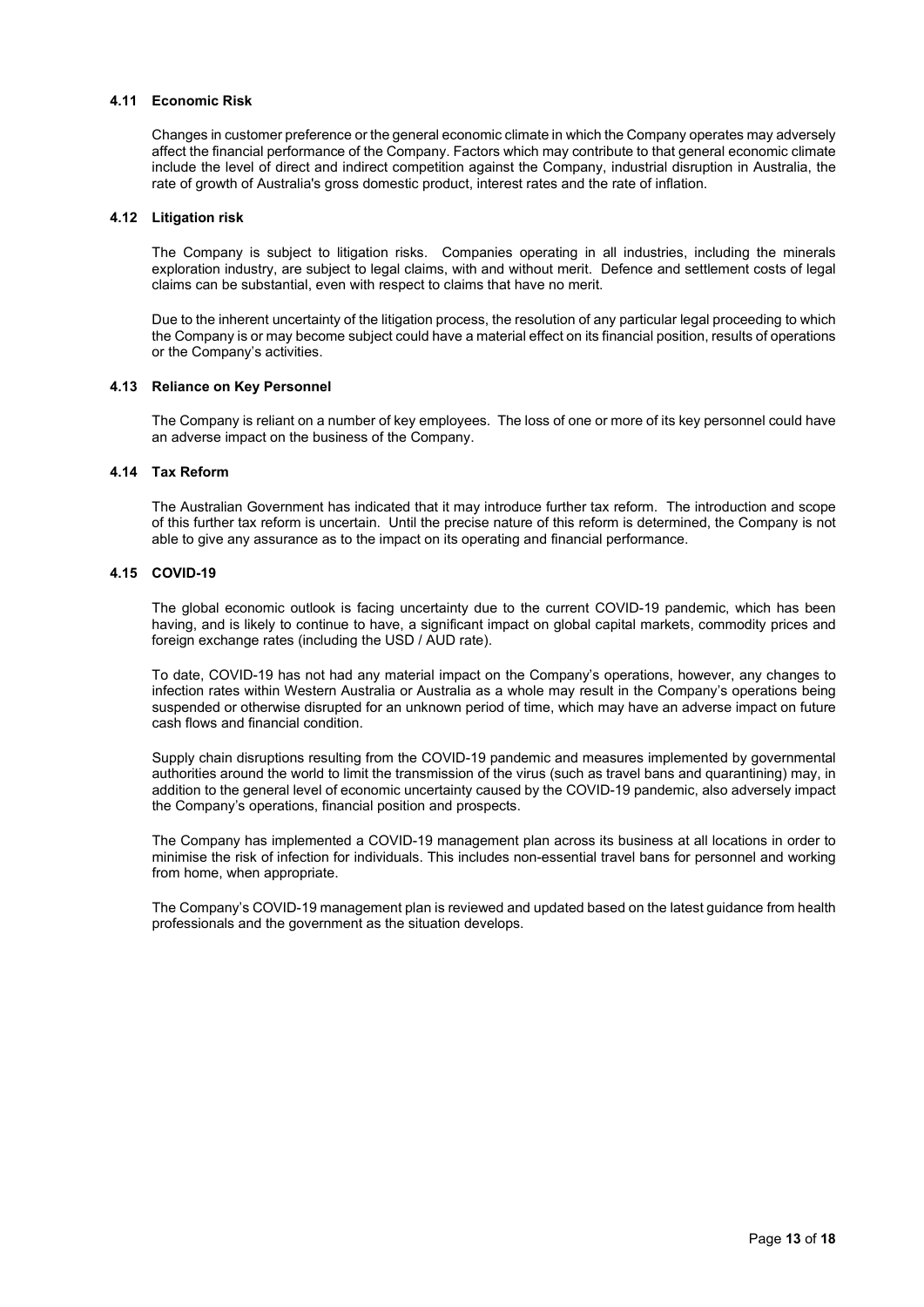#### **4.11 Economic Risk**

Changes in customer preference or the general economic climate in which the Company operates may adversely affect the financial performance of the Company. Factors which may contribute to that general economic climate include the level of direct and indirect competition against the Company, industrial disruption in Australia, the rate of growth of Australia's gross domestic product, interest rates and the rate of inflation.

#### **4.12 Litigation risk**

The Company is subject to litigation risks. Companies operating in all industries, including the minerals exploration industry, are subject to legal claims, with and without merit. Defence and settlement costs of legal claims can be substantial, even with respect to claims that have no merit.

Due to the inherent uncertainty of the litigation process, the resolution of any particular legal proceeding to which the Company is or may become subject could have a material effect on its financial position, results of operations or the Company's activities.

#### **4.13 Reliance on Key Personnel**

The Company is reliant on a number of key employees. The loss of one or more of its key personnel could have an adverse impact on the business of the Company.

#### **4.14 Tax Reform**

The Australian Government has indicated that it may introduce further tax reform. The introduction and scope of this further tax reform is uncertain. Until the precise nature of this reform is determined, the Company is not able to give any assurance as to the impact on its operating and financial performance.

# **4.15 COVID-19**

The global economic outlook is facing uncertainty due to the current COVID-19 pandemic, which has been having, and is likely to continue to have, a significant impact on global capital markets, commodity prices and foreign exchange rates (including the USD / AUD rate).

To date, COVID-19 has not had any material impact on the Company's operations, however, any changes to infection rates within Western Australia or Australia as a whole may result in the Company's operations being suspended or otherwise disrupted for an unknown period of time, which may have an adverse impact on future cash flows and financial condition.

Supply chain disruptions resulting from the COVID-19 pandemic and measures implemented by governmental authorities around the world to limit the transmission of the virus (such as travel bans and quarantining) may, in addition to the general level of economic uncertainty caused by the COVID-19 pandemic, also adversely impact the Company's operations, financial position and prospects.

The Company has implemented a COVID-19 management plan across its business at all locations in order to minimise the risk of infection for individuals. This includes non-essential travel bans for personnel and working from home, when appropriate.

The Company's COVID-19 management plan is reviewed and updated based on the latest guidance from health professionals and the government as the situation develops.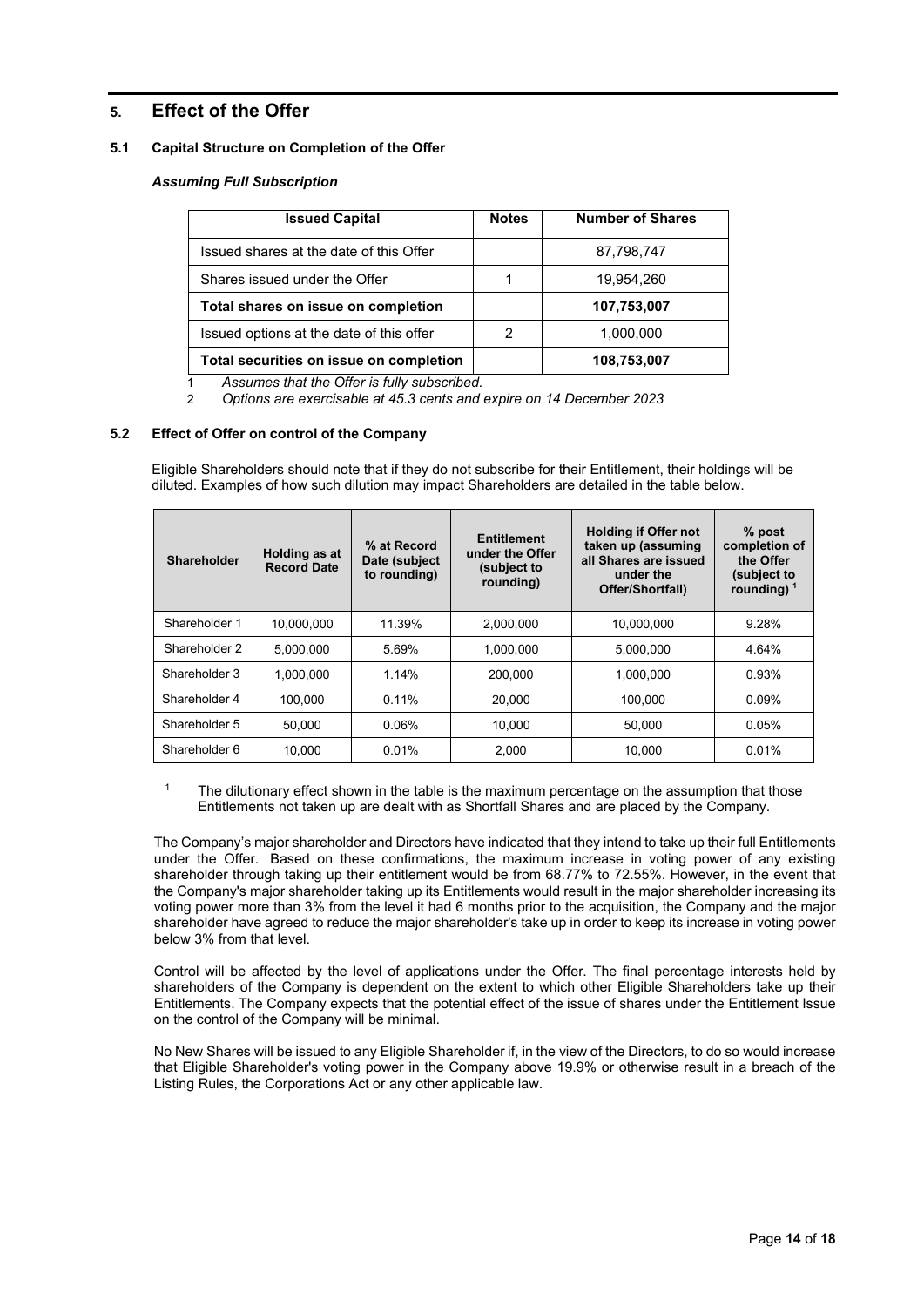# **5. Effect of the Offer**

# **5.1 Capital Structure on Completion of the Offer**

# *Assuming Full Subscription*

| <b>Issued Capital</b>                    | <b>Notes</b> | <b>Number of Shares</b> |  |
|------------------------------------------|--------------|-------------------------|--|
| Issued shares at the date of this Offer  |              | 87,798,747              |  |
| Shares issued under the Offer            |              | 19,954,260              |  |
| Total shares on issue on completion      |              | 107,753,007             |  |
| Issued options at the date of this offer | 2            | 1,000,000               |  |
| Total securities on issue on completion  |              | 108,753,007             |  |

1 *Assumes that the Offer is fully subscribed.*

2 *Options are exercisable at 45.3 cents and expire on 14 December 2023* 

# **5.2 Effect of Offer on control of the Company**

Eligible Shareholders should note that if they do not subscribe for their Entitlement, their holdings will be diluted. Examples of how such dilution may impact Shareholders are detailed in the table below.

| <b>Shareholder</b> | Holding as at<br><b>Record Date</b> | % at Record<br>Date (subject)<br>to rounding) | <b>Entitlement</b><br>under the Offer<br>(subject to<br>rounding) | <b>Holding if Offer not</b><br>taken up (assuming<br>all Shares are issued<br>under the<br>Offer/Shortfall) | $%$ post<br>completion of<br>the Offer<br>(subject to<br>rounding) $1$ |
|--------------------|-------------------------------------|-----------------------------------------------|-------------------------------------------------------------------|-------------------------------------------------------------------------------------------------------------|------------------------------------------------------------------------|
| Shareholder 1      | 10.000.000                          | 11.39%                                        | 2.000.000                                                         | 10.000.000                                                                                                  | 9.28%                                                                  |
| Shareholder 2      | 5.000.000                           | 5.69%                                         | 1.000.000                                                         | 5.000.000                                                                                                   | 4.64%                                                                  |
| Shareholder 3      | 1.000.000                           | 1.14%                                         | 200.000                                                           | 1.000.000                                                                                                   | 0.93%                                                                  |
| Shareholder 4      | 100.000                             | 0.11%                                         | 20.000                                                            | 100.000                                                                                                     | 0.09%                                                                  |
| Shareholder 5      | 50.000                              | $0.06\%$                                      | 10.000                                                            | 50.000                                                                                                      | 0.05%                                                                  |
| Shareholder 6      | 10.000                              | 0.01%                                         | 2.000                                                             | 10.000                                                                                                      | 0.01%                                                                  |

<sup>1</sup> The dilutionary effect shown in the table is the maximum percentage on the assumption that those Entitlements not taken up are dealt with as Shortfall Shares and are placed by the Company.

The Company's major shareholder and Directors have indicated that they intend to take up their full Entitlements under the Offer. Based on these confirmations, the maximum increase in voting power of any existing shareholder through taking up their entitlement would be from 68.77% to 72.55%. However, in the event that the Company's major shareholder taking up its Entitlements would result in the major shareholder increasing its voting power more than 3% from the level it had 6 months prior to the acquisition, the Company and the major shareholder have agreed to reduce the major shareholder's take up in order to keep its increase in voting power below 3% from that level.

Control will be affected by the level of applications under the Offer. The final percentage interests held by shareholders of the Company is dependent on the extent to which other Eligible Shareholders take up their Entitlements. The Company expects that the potential effect of the issue of shares under the Entitlement Issue on the control of the Company will be minimal.

No New Shares will be issued to any Eligible Shareholder if, in the view of the Directors, to do so would increase that Eligible Shareholder's voting power in the Company above 19.9% or otherwise result in a breach of the Listing Rules, the Corporations Act or any other applicable law.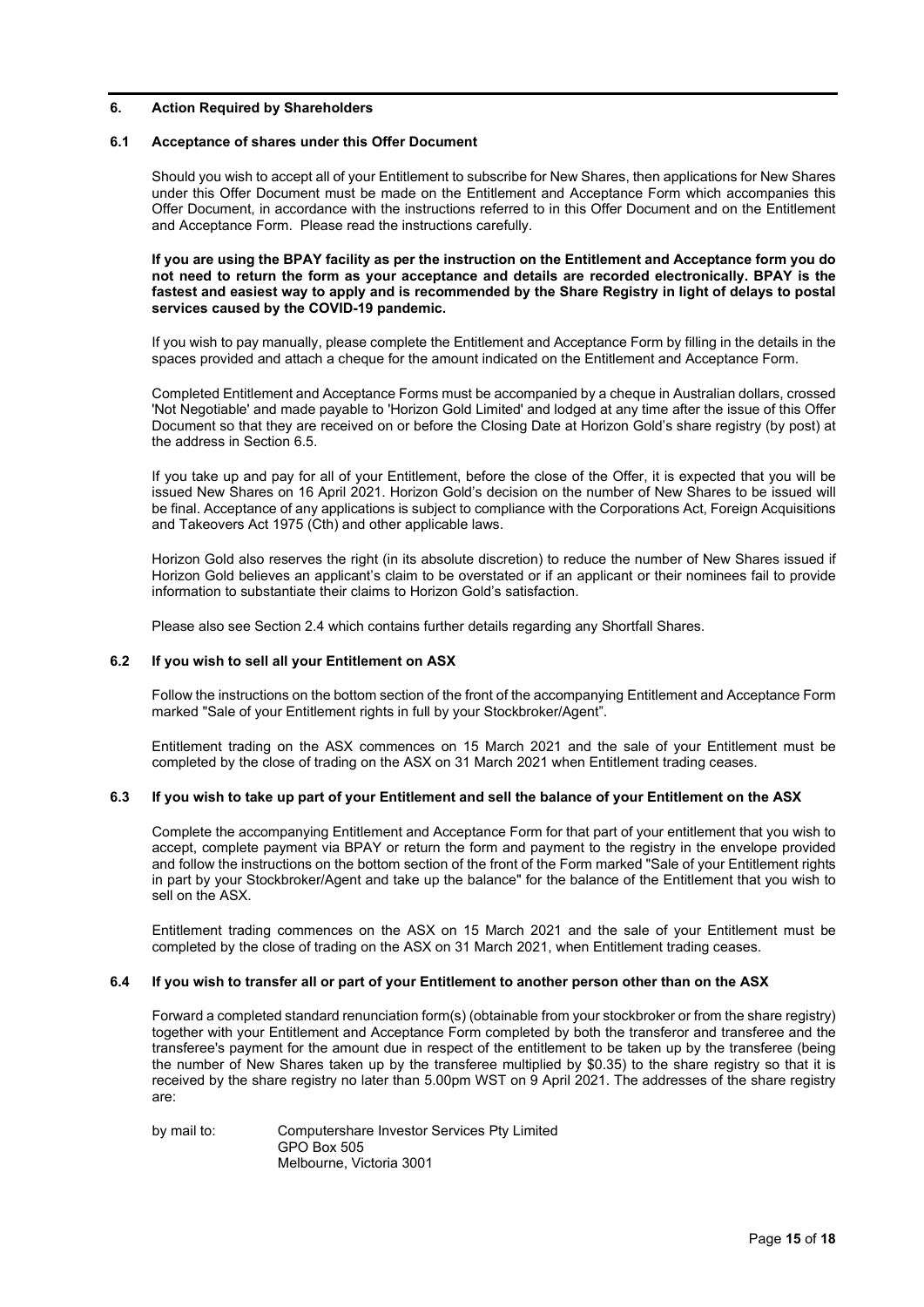#### **6. Action Required by Shareholders**

#### **6.1 Acceptance of shares under this Offer Document**

Should you wish to accept all of your Entitlement to subscribe for New Shares, then applications for New Shares under this Offer Document must be made on the Entitlement and Acceptance Form which accompanies this Offer Document, in accordance with the instructions referred to in this Offer Document and on the Entitlement and Acceptance Form. Please read the instructions carefully.

#### **If you are using the BPAY facility as per the instruction on the Entitlement and Acceptance form you do not need to return the form as your acceptance and details are recorded electronically. BPAY is the fastest and easiest way to apply and is recommended by the Share Registry in light of delays to postal services caused by the COVID-19 pandemic.**

If you wish to pay manually, please complete the Entitlement and Acceptance Form by filling in the details in the spaces provided and attach a cheque for the amount indicated on the Entitlement and Acceptance Form.

Completed Entitlement and Acceptance Forms must be accompanied by a cheque in Australian dollars, crossed 'Not Negotiable' and made payable to 'Horizon Gold Limited' and lodged at any time after the issue of this Offer Document so that they are received on or before the Closing Date at Horizon Gold's share registry (by post) at the address in Section 6.5.

If you take up and pay for all of your Entitlement, before the close of the Offer, it is expected that you will be issued New Shares on 16 April 2021. Horizon Gold's decision on the number of New Shares to be issued will be final. Acceptance of any applications is subject to compliance with the Corporations Act, Foreign Acquisitions and Takeovers Act 1975 (Cth) and other applicable laws.

Horizon Gold also reserves the right (in its absolute discretion) to reduce the number of New Shares issued if Horizon Gold believes an applicant's claim to be overstated or if an applicant or their nominees fail to provide information to substantiate their claims to Horizon Gold's satisfaction.

Please also see Sectio[n 2.4](#page-5-1) which contains further details regarding any Shortfall Shares.

#### **6.2 If you wish to sell all your Entitlement on ASX**

Follow the instructions on the bottom section of the front of the accompanying Entitlement and Acceptance Form marked "Sale of your Entitlement rights in full by your Stockbroker/Agent".

Entitlement trading on the ASX commences on 15 March 2021 and the sale of your Entitlement must be completed by the close of trading on the ASX on 31 March 2021 when Entitlement trading ceases.

#### **6.3 If you wish to take up part of your Entitlement and sell the balance of your Entitlement on the ASX**

Complete the accompanying Entitlement and Acceptance Form for that part of your entitlement that you wish to accept, complete payment via BPAY or return the form and payment to the registry in the envelope provided and follow the instructions on the bottom section of the front of the Form marked "Sale of your Entitlement rights in part by your Stockbroker/Agent and take up the balance" for the balance of the Entitlement that you wish to sell on the ASX.

Entitlement trading commences on the ASX on 15 March 2021 and the sale of your Entitlement must be completed by the close of trading on the ASX on 31 March 2021, when Entitlement trading ceases.

#### **6.4 If you wish to transfer all or part of your Entitlement to another person other than on the ASX**

Forward a completed standard renunciation form(s) (obtainable from your stockbroker or from the share registry) together with your Entitlement and Acceptance Form completed by both the transferor and transferee and the transferee's payment for the amount due in respect of the entitlement to be taken up by the transferee (being the number of New Shares taken up by the transferee multiplied by \$0.35) to the share registry so that it is received by the share registry no later than 5.00pm WST on 9 April 2021. The addresses of the share registry are:

by mail to: Computershare Investor Services Pty Limited GPO Box 505 Melbourne, Victoria 3001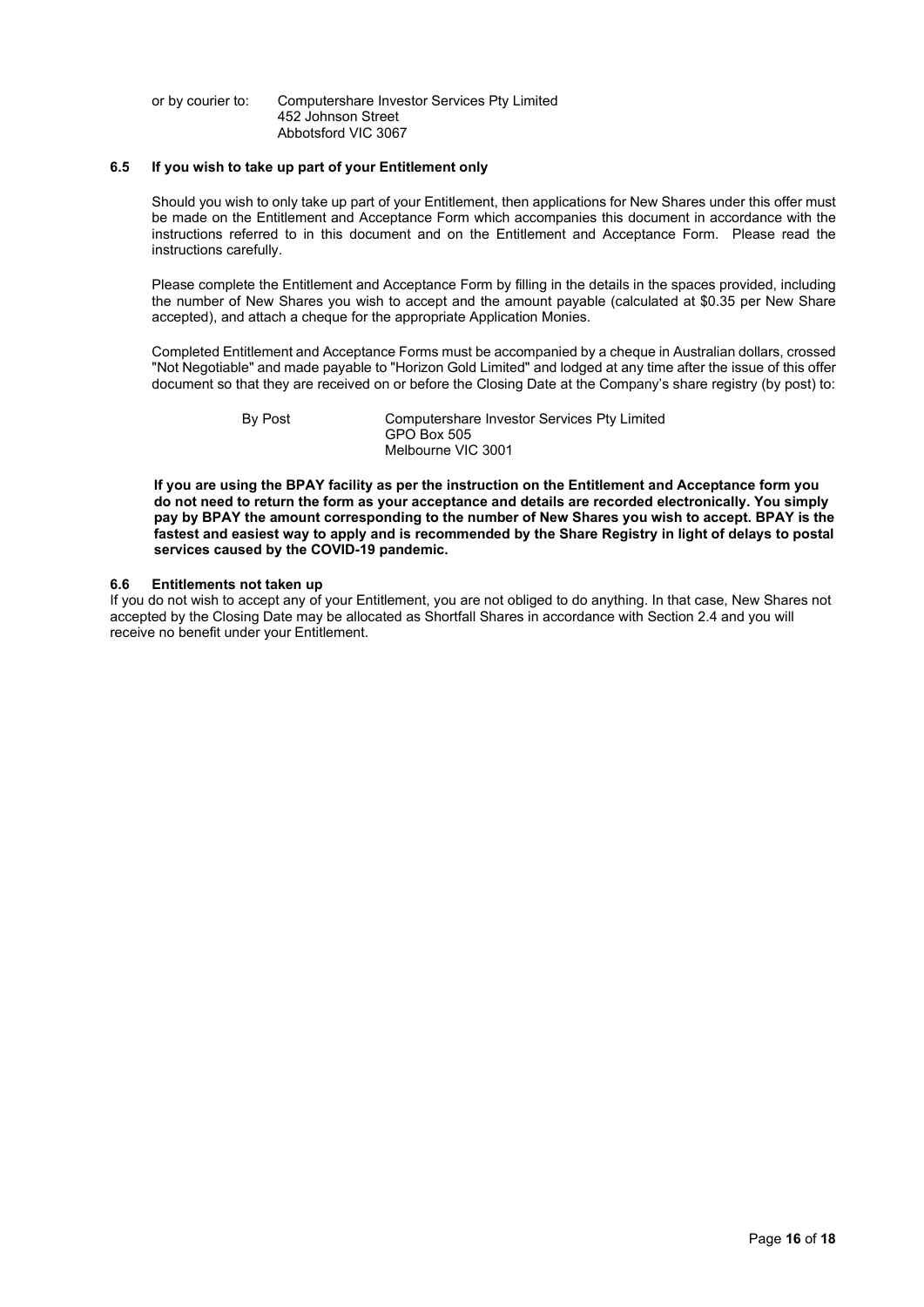#### or by courier to: Computershare Investor Services Pty Limited 452 Johnson Street Abbotsford VIC 3067

## **6.5 If you wish to take up part of your Entitlement only**

Should you wish to only take up part of your Entitlement, then applications for New Shares under this offer must be made on the Entitlement and Acceptance Form which accompanies this document in accordance with the instructions referred to in this document and on the Entitlement and Acceptance Form. Please read the instructions carefully.

Please complete the Entitlement and Acceptance Form by filling in the details in the spaces provided, including the number of New Shares you wish to accept and the amount payable (calculated at \$0.35 per New Share accepted), and attach a cheque for the appropriate Application Monies.

Completed Entitlement and Acceptance Forms must be accompanied by a cheque in Australian dollars, crossed "Not Negotiable" and made payable to "Horizon Gold Limited" and lodged at any time after the issue of this offer document so that they are received on or before the Closing Date at the Company's share registry (by post) to:

By Post Computershare Investor Services Pty Limited GPO Box 505 Melbourne VIC 3001

**If you are using the BPAY facility as per the instruction on the Entitlement and Acceptance form you do not need to return the form as your acceptance and details are recorded electronically. You simply pay by BPAY the amount corresponding to the number of New Shares you wish to accept. BPAY is the fastest and easiest way to apply and is recommended by the Share Registry in light of delays to postal services caused by the COVID-19 pandemic.**

#### **6.6 Entitlements not taken up**

If you do not wish to accept any of your Entitlement, you are not obliged to do anything. In that case, New Shares not accepted by the Closing Date may be allocated as Shortfall Shares in accordance with Sectio[n 2.4](#page-5-1) and you will receive no benefit under your Entitlement.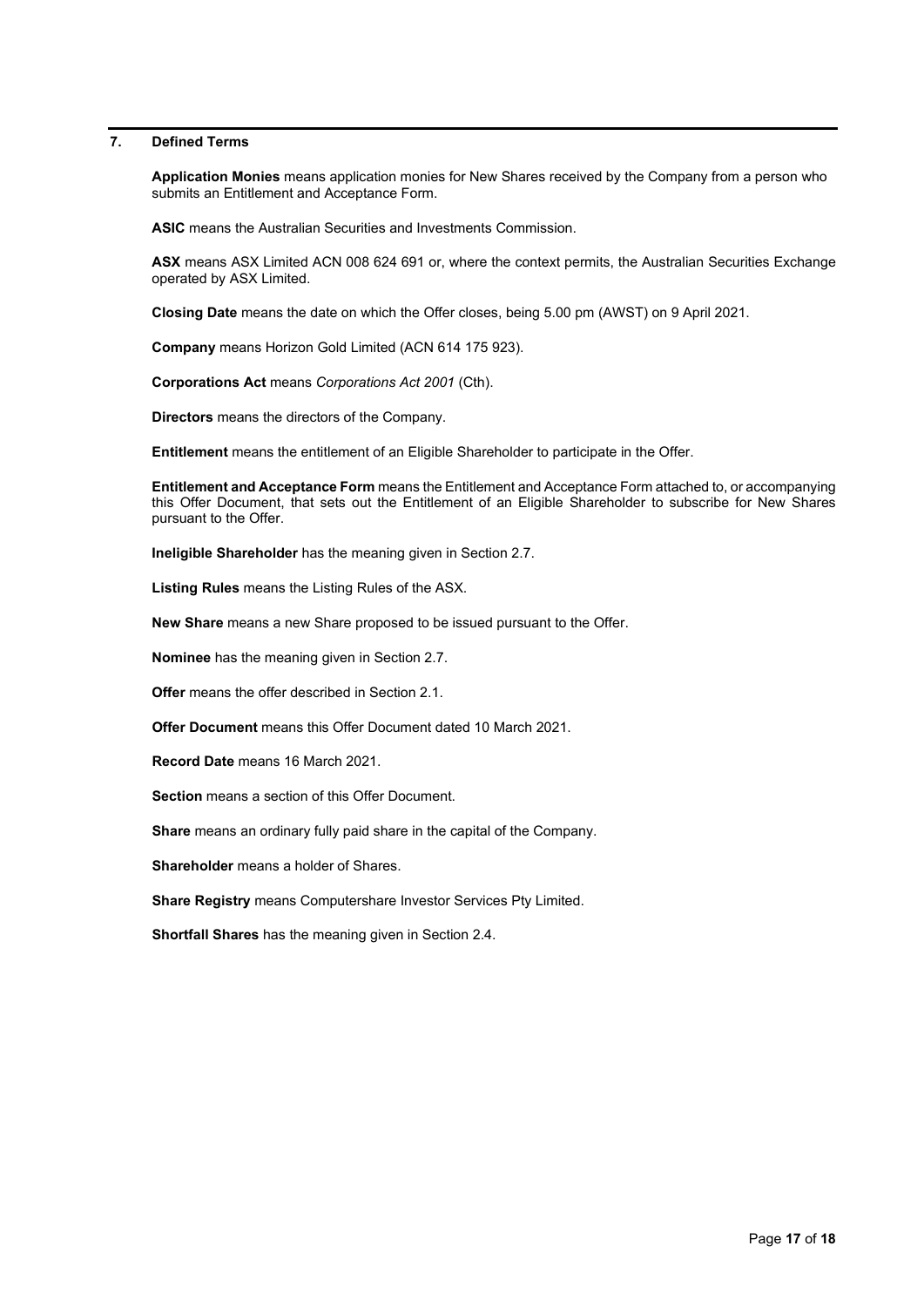# **7. Defined Terms**

**Application Monies** means application monies for New Shares received by the Company from a person who submits an Entitlement and Acceptance Form.

**ASIC** means the Australian Securities and Investments Commission.

**ASX** means ASX Limited ACN 008 624 691 or, where the context permits, the Australian Securities Exchange operated by ASX Limited.

**Closing Date** means the date on which the Offer closes, being 5.00 pm (AWST) on 9 April 2021.

**Company** means Horizon Gold Limited (ACN 614 175 923).

**Corporations Act** means *Corporations Act 2001* (Cth).

**Directors** means the directors of the Company.

**Entitlement** means the entitlement of an Eligible Shareholder to participate in the Offer.

**Entitlement and Acceptance Form** means the Entitlement and Acceptance Form attached to, or accompanying this Offer Document, that sets out the Entitlement of an Eligible Shareholder to subscribe for New Shares pursuant to the Offer.

**Ineligible Shareholder** has the meaning given in Section 2.7.

**Listing Rules** means the Listing Rules of the ASX.

**New Share** means a new Share proposed to be issued pursuant to the Offer.

**Nominee** has the meaning given in Section 2.7.

**Offer** means the offer described in Sectio[n 2.1.](#page-4-1)

**Offer Document** means this Offer Document dated 10 March 2021.

**Record Date** means 16 March 2021.

**Section** means a section of this Offer Document.

**Share** means an ordinary fully paid share in the capital of the Company.

**Shareholder** means a holder of Shares.

**Share Registry** means Computershare Investor Services Pty Limited.

**Shortfall Shares** has the meaning given in Sectio[n 2.4.](#page-5-1)